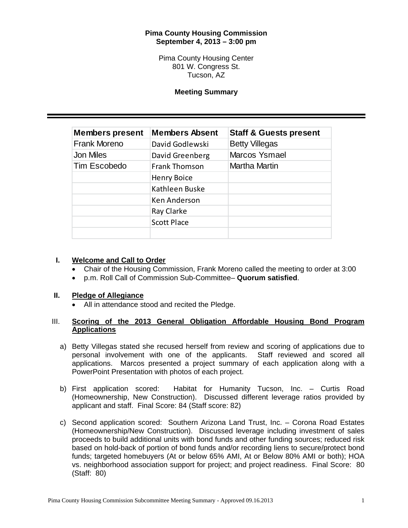## **Pima County Housing Commission September 4, 2013 – 3:00 pm**

Pima County Housing Center 801 W. Congress St. Tucson, AZ

## **Meeting Summary**

| <b>Members present</b> | <b>Members Absent</b> | <b>Staff &amp; Guests present</b> |
|------------------------|-----------------------|-----------------------------------|
| <b>Frank Moreno</b>    | David Godlewski       | <b>Betty Villegas</b>             |
| <b>Jon Miles</b>       | David Greenberg       | Marcos Ysmael                     |
| Tim Escobedo           | <b>Frank Thomson</b>  | <b>Martha Martin</b>              |
|                        | <b>Henry Boice</b>    |                                   |
|                        | Kathleen Buske        |                                   |
|                        | Ken Anderson          |                                   |
|                        | Ray Clarke            |                                   |
|                        | <b>Scott Place</b>    |                                   |
|                        |                       |                                   |

### **I. Welcome and Call to Order**

- Chair of the Housing Commission, Frank Moreno called the meeting to order at 3:00
- p.m. Roll Call of Commission Sub-Committee– **Quorum satisfied**.

#### **II. Pledge of Allegiance**

• All in attendance stood and recited the Pledge.

## III. **Scoring of the 2013 General Obligation Affordable Housing Bond Program Applications**

- a) Betty Villegas stated she recused herself from review and scoring of applications due to personal involvement with one of the applicants. Staff reviewed and scored all applications. Marcos presented a project summary of each application along with a PowerPoint Presentation with photos of each project.
- b) First application scored: Habitat for Humanity Tucson, Inc. Curtis Road (Homeownership, New Construction). Discussed different leverage ratios provided by applicant and staff. Final Score: 84 (Staff score: 82)
- c) Second application scored: Southern Arizona Land Trust, Inc. Corona Road Estates (Homeownership/New Construction). Discussed leverage including investment of sales proceeds to build additional units with bond funds and other funding sources; reduced risk based on hold-back of portion of bond funds and/or recording liens to secure/protect bond funds; targeted homebuyers (At or below 65% AMI, At or Below 80% AMI or both); HOA vs. neighborhood association support for project; and project readiness. Final Score: 80 (Staff: 80)